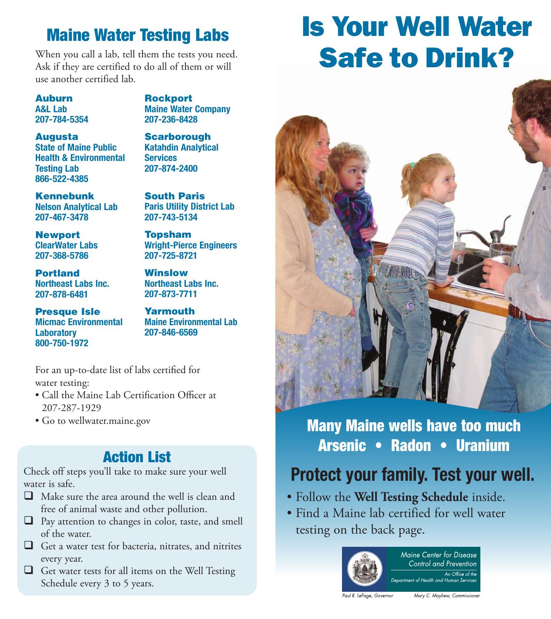## Maine Water Testing Labs

When you call a lab, tell them the tests you need. Ask if they are certified to do all of them or will use another certified lab.

Auburn A&L Lab 207-784-5354 **Rockport** Maine Water Company 207-236-8428

#### Augusta

State of Maine Public Health & Environmental Testing Lab 866-522-4385

Kennebunk Nelson Analytical Lab 207-467-3478

Newport ClearWater Labs 207-368-5786

Portland Northeast Labs Inc. 207-878-6481

Presque Isle Micmac Environmental **Laboratory** 800-750-1972

**Scarborough** Katahdin Analytical **Services** 207-874-2400

South Paris Paris Utility District Lab 207-743-5134

Topsham Wright-Pierce Engineers 207-725-8721

Winslow Northeast Labs Inc. 207-873-7711

Yarmouth Maine Environmental Lab 207-846-6569

For an up-to-date list of labs certified for water testing:

- Call the Maine Lab Certification Officer at 207-287-1929
- Go to wellwater.maine.gov

## Action List

Check off steps you'll take to make sure your well water is safe.

- $\Box$  Make sure the area around the well is clean and free of animal waste and other pollution.
- $\Box$  Pay attention to changes in color, taste, and smell of the water.
- $\Box$  Get a water test for bacteria, nitrates, and nitrites every year.
- $\Box$  Get water tests for all items on the Well Testing Schedule every 3 to 5 years.

# Is Your Well Water Safe to Drink?



## Many Maine wells have too much Arsenic • Radon • Uranium

# Protect your family. Test your well.

- Follow the **Well Testing Schedule** inside.
- Find a Maine lab certified for well water testing on the back page.



Maine Center for Disease Control and Prevention An Office of the Department of Health and Human Service

Paul R. LePage, Governor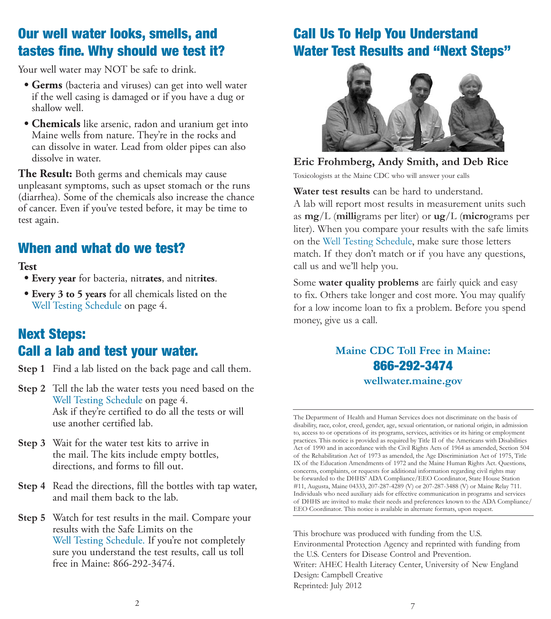## Our well water looks, smells, and tastes fine. Why should we test it?

Your well water may NOT be safe to drink.

- **Germs** (bacteria and viruses) can get into well water if the well casing is damaged or if you have a dug or shallow well.
- **Chemicals** like arsenic, radon and uranium get into Maine wells from nature. They're in the rocks and can dissolve in water. Lead from older pipes can also dissolve in water.

**The Result:** Both germs and chemicals may cause unpleasant symptoms, such as upset stomach or the runs (diarrhea). Some of the chemicals also increase the chance of cancer. Even if you've tested before, it may be time to test again.

### When and what do we test?

### **Test**

- **Every year** for bacteria, nitr**ates**, and nitr**ites**.
- **Every 3 to 5 years** for all chemicals listed on the Well Testing Schedule on page 4.

## Next Steps: Call a lab and test your water.

- **Step 1** Find a lab listed on the back page and call them.
- **Step 2** Tell the lab the water tests you need based on the Well Testing Schedule on page 4. Ask if they're certified to do all the tests or will use another certified lab.
- **Step 3** Wait for the water test kits to arrive in the mail. The kits include empty bottles, directions, and forms to fill out.
- **Step 4** Read the directions, fill the bottles with tap water, and mail them back to the lab.
- **Step 5** Watch for test results in the mail. Compare your results with the Safe Limits on the Well Testing Schedule. If you're not completely sure you understand the test results, call us toll free in Maine: 866-292-3474.

### Call Us To Help You Understand Water Test Results and "Next Steps"



### **Eric Frohmberg, Andy Smith, and Deb Rice**  Toxicologists at the Maine CDC who will answer your calls

**Water test results** can be hard to understand. A lab will report most results in measurement units such as **mg**/L (**milli**grams per liter) or **ug**/L (**micro**grams per liter). When you compare your results with the safe limits on the Well Testing Schedule, make sure those letters match. If they don't match or if you have any questions,

Some **water quality problems** are fairly quick and easy to fix. Others take longer and cost more. You may qualify for a low income loan to fix a problem. Before you spend money, give us a call.

call us and we'll help you.

### **Maine CDC Toll Free in Maine:**  866-292-3474 **wellwater.maine.gov**

The Department of Health and Human Services does not discriminate on the basis of disability, race, color, creed, gender, age, sexual orientation, or national origin, in admission to, access to or operations of its programs, services, activities or its hiring or employment practices. This notice is provided as required by Title II of the Americans with Disabilities Act of 1990 and in accordance with the Civil Rights Acts of 1964 as amended, Section 504 of the Rehabilitation Act of 1973 as amended, the Age Discriminiation Act of 1975, Title IX of the Education Amendments of 1972 and the Maine Human Rights Act. Questions, concerns, complaints, or requests for additional information regarding civil rights may be forwarded to the DHHS' ADA Compliance/EEO Coordinator, State House Station #11, Augusta, Maine 04333, 207-287-4289 (V) or 207-287-3488 (V) or Maine Relay 711. Individuals who need auxiliary aids for effective communication in programs and services of DHHS are invited to make their needs and preferences known to the ADA Compliance/ EEO Coordinator. This notice is available in alternate formats, upon request.

This brochure was produced with funding from the U.S. Environmental Protection Agency and reprinted with funding from the U.S. Centers for Disease Control and Prevention. Writer: AHEC Health Literacy Center, University of New England Design: Campbell Creative Reprinted: July 2012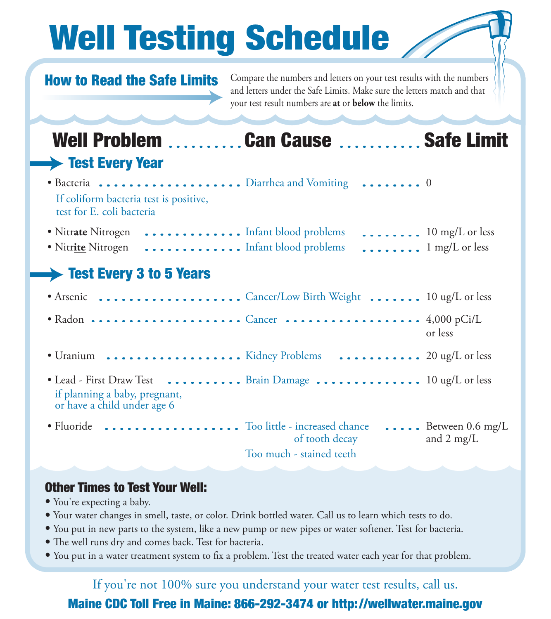# Well Testing Schedule

## How to Read the Safe Limits

Compare the numbers and letters on your test results with the numbers and letters under the Safe Limits. Make sure the letters match and that your test result numbers are **at** or **below** the limits.

# Well Problem ..........Can Cause .............Safe Limit **Test Every Year** • Bacteria Diarrhea and Vomiting 0

If coliform bacteria test is positive, test for E. coli bacteria

| • Nitrate Nitrogen  Infant blood problems  10 mg/L or less |  |
|------------------------------------------------------------|--|
|                                                            |  |

## Test Every 3 to 5 Years

|                                                                                                                         |                                            | or less                                           |
|-------------------------------------------------------------------------------------------------------------------------|--------------------------------------------|---------------------------------------------------|
| • Uranium  Kidney Problems  20 ug/L or less                                                                             |                                            |                                                   |
| • Lead - First Draw Test  Brain Damage  10 ug/L or less<br>if planning a baby, pregnant,<br>or have a child under age 6 |                                            |                                                   |
| • Fluoride  Too little - increased chance                                                                               | of tooth decay<br>Too much - stained teeth | $\cdots$ Between 0.6 mg/L<br>and $2 \text{ mg/L}$ |

### Other Times to Test Your Well:

- You're expecting a baby.
- Your water changes in smell, taste, or color. Drink bottled water. Call us to learn which tests to do.
- You put in new parts to the system, like a new pump or new pipes or water softener. Test for bacteria.
- The well runs dry and comes back. Test for bacteria.
- You put in a water treatment system to fix a problem. Test the treated water each year for that problem.

4 5 Maine CDC Toll Free in Maine: 866-292-3474 or http://wellwater.maine.gov If you're not 100% sure you understand your water test results, call us.